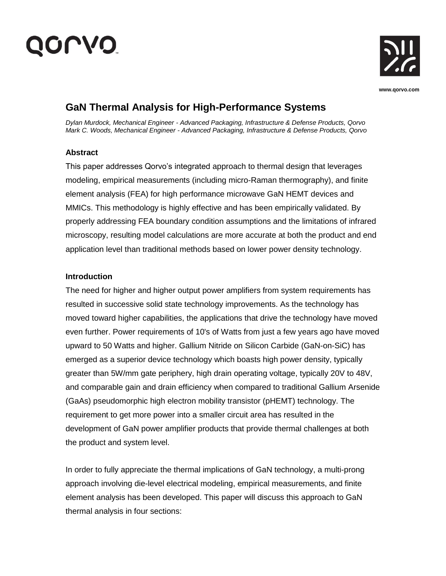## OLVO



**www.qorvo.com**

### **GaN Thermal Analysis for High-Performance Systems**

*Dylan Murdock, Mechanical Engineer - Advanced Packaging, Infrastructure & Defense Products, Qorvo Mark C. Woods, Mechanical Engineer - Advanced Packaging, Infrastructure & Defense Products, Qorvo*

### **Abstract**

This paper addresses Qorvo's integrated approach to thermal design that leverages modeling, empirical measurements (including micro-Raman thermography), and finite element analysis (FEA) for high performance microwave GaN HEMT devices and MMICs. This methodology is highly effective and has been empirically validated. By properly addressing FEA boundary condition assumptions and the limitations of infrared microscopy, resulting model calculations are more accurate at both the product and end application level than traditional methods based on lower power density technology.

### **Introduction**

The need for higher and higher output power amplifiers from system requirements has resulted in successive solid state technology improvements. As the technology has moved toward higher capabilities, the applications that drive the technology have moved even further. Power requirements of 10's of Watts from just a few years ago have moved upward to 50 Watts and higher. Gallium Nitride on Silicon Carbide (GaN-on-SiC) has emerged as a superior device technology which boasts high power density, typically greater than 5W/mm gate periphery, high drain operating voltage, typically 20V to 48V, and comparable gain and drain efficiency when compared to traditional Gallium Arsenide (GaAs) pseudomorphic high electron mobility transistor (pHEMT) technology. The requirement to get more power into a smaller circuit area has resulted in the development of GaN power amplifier products that provide thermal challenges at both the product and system level.

In order to fully appreciate the thermal implications of GaN technology, a multi-prong approach involving die-level electrical modeling, empirical measurements, and finite element analysis has been developed. This paper will discuss this approach to GaN thermal analysis in four sections: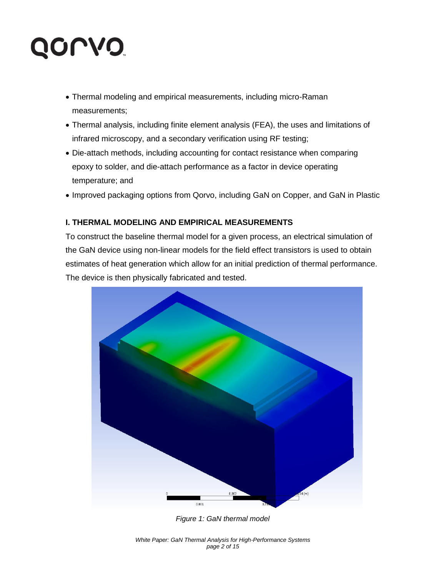# **GOLVO**

- Thermal modeling and empirical measurements, including micro-Raman measurements;
- Thermal analysis, including finite element analysis (FEA), the uses and limitations of infrared microscopy, and a secondary verification using RF testing;
- Die-attach methods, including accounting for contact resistance when comparing epoxy to solder, and die-attach performance as a factor in device operating temperature; and
- Improved packaging options from Qorvo, including GaN on Copper, and GaN in Plastic

### **I. THERMAL MODELING AND EMPIRICAL MEASUREMENTS**

To construct the baseline thermal model for a given process, an electrical simulation of the GaN device using non-linear models for the field effect transistors is used to obtain estimates of heat generation which allow for an initial prediction of thermal performance. The device is then physically fabricated and tested.



*Figure 1: GaN thermal model*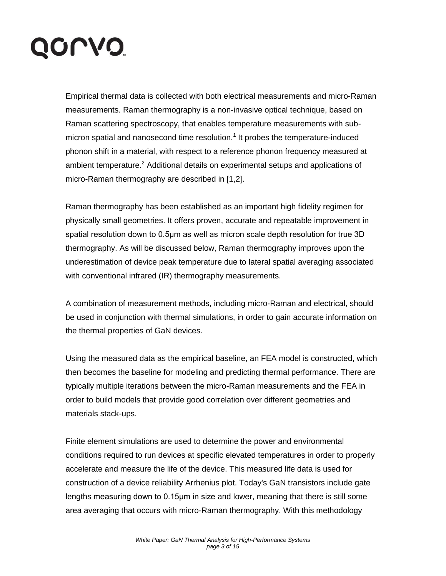Empirical thermal data is collected with both electrical measurements and micro-Raman measurements. Raman thermography is a non-invasive optical technique, based on Raman scattering spectroscopy, that enables temperature measurements with submicron spatial and nanosecond time resolution.<sup>1</sup> It probes the temperature-induced phonon shift in a material, with respect to a reference phonon frequency measured at ambient temperature.<sup>2</sup> Additional details on experimental setups and applications of micro-Raman thermography are described in [1,2].

Raman thermography has been established as an important high fidelity regimen for physically small geometries. It offers proven, accurate and repeatable improvement in spatial resolution down to 0.5μm as well as micron scale depth resolution for true 3D thermography. As will be discussed below, Raman thermography improves upon the underestimation of device peak temperature due to lateral spatial averaging associated with conventional infrared (IR) thermography measurements.

A combination of measurement methods, including micro-Raman and electrical, should be used in conjunction with thermal simulations, in order to gain accurate information on the thermal properties of GaN devices.

Using the measured data as the empirical baseline, an FEA model is constructed, which then becomes the baseline for modeling and predicting thermal performance. There are typically multiple iterations between the micro-Raman measurements and the FEA in order to build models that provide good correlation over different geometries and materials stack-ups.

Finite element simulations are used to determine the power and environmental conditions required to run devices at specific elevated temperatures in order to properly accelerate and measure the life of the device. This measured life data is used for construction of a device reliability Arrhenius plot. Today's GaN transistors include gate lengths measuring down to 0.15μm in size and lower, meaning that there is still some area averaging that occurs with micro-Raman thermography. With this methodology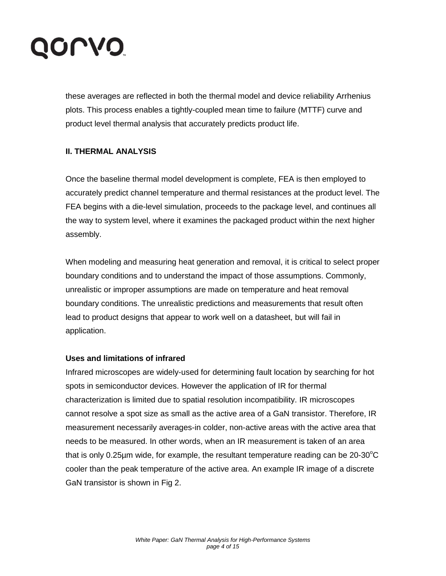these averages are reflected in both the thermal model and device reliability Arrhenius plots. This process enables a tightly-coupled mean time to failure (MTTF) curve and product level thermal analysis that accurately predicts product life.

### **II. THERMAL ANALYSIS**

Once the baseline thermal model development is complete, FEA is then employed to accurately predict channel temperature and thermal resistances at the product level. The FEA begins with a die-level simulation, proceeds to the package level, and continues all the way to system level, where it examines the packaged product within the next higher assembly.

When modeling and measuring heat generation and removal, it is critical to select proper boundary conditions and to understand the impact of those assumptions. Commonly, unrealistic or improper assumptions are made on temperature and heat removal boundary conditions. The unrealistic predictions and measurements that result often lead to product designs that appear to work well on a datasheet, but will fail in application.

### **Uses and limitations of infrared**

Infrared microscopes are widely-used for determining fault location by searching for hot spots in semiconductor devices. However the application of IR for thermal characterization is limited due to spatial resolution incompatibility. IR microscopes cannot resolve a spot size as small as the active area of a GaN transistor. Therefore, IR measurement necessarily averages-in colder, non-active areas with the active area that needs to be measured. In other words, when an IR measurement is taken of an area that is only 0.25µm wide, for example, the resultant temperature reading can be  $20\text{-}30\text{°C}$ cooler than the peak temperature of the active area. An example IR image of a discrete GaN transistor is shown in Fig 2.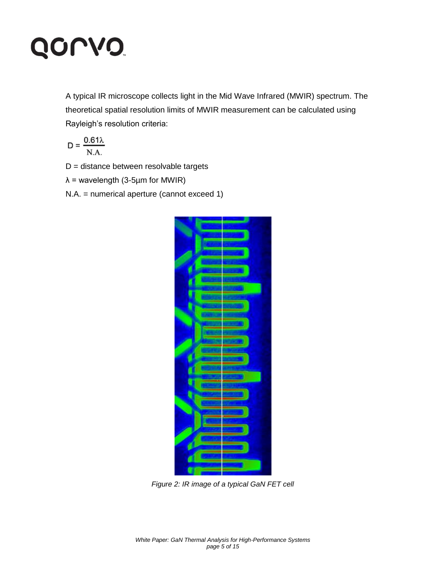A typical IR microscope collects light in the Mid Wave Infrared (MWIR) spectrum. The theoretical spatial resolution limits of MWIR measurement can be calculated using Rayleigh's resolution criteria:

$$
D = \frac{0.61\lambda}{N.A.}
$$

D = distance between resolvable targets

 $\lambda$  = wavelength (3-5µm for MWIR)

N.A. = numerical aperture (cannot exceed 1)



*Figure 2: IR image of a typical GaN FET cell*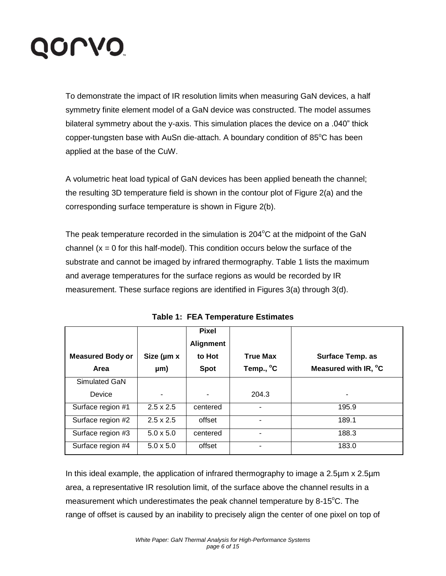To demonstrate the impact of IR resolution limits when measuring GaN devices, a half symmetry finite element model of a GaN device was constructed. The model assumes bilateral symmetry about the y-axis. This simulation places the device on a .040" thick copper-tungsten base with AuSn die-attach. A boundary condition of  $85^{\circ}$ C has been applied at the base of the CuW.

A volumetric heat load typical of GaN devices has been applied beneath the channel; the resulting 3D temperature field is shown in the contour plot of Figure 2(a) and the corresponding surface temperature is shown in Figure 2(b).

The peak temperature recorded in the simulation is  $204^{\circ}$ C at the midpoint of the GaN channel  $(x = 0$  for this half-model). This condition occurs below the surface of the substrate and cannot be imaged by infrared thermography. Table 1 lists the maximum and average temperatures for the surface regions as would be recorded by IR measurement. These surface regions are identified in Figures 3(a) through 3(d).

| <b>Measured Body or</b><br>Area | Size (µm x<br>µm) | <b>Pixel</b><br><b>Alignment</b><br>to Hot<br><b>Spot</b> | <b>True Max</b><br>Temp., °C | Surface Temp. as<br>Measured with IR, <sup>o</sup> C |
|---------------------------------|-------------------|-----------------------------------------------------------|------------------------------|------------------------------------------------------|
| Simulated GaN                   |                   |                                                           |                              |                                                      |
| Device                          | $\blacksquare$    | $\qquad \qquad \blacksquare$                              | 204.3                        | -                                                    |
| Surface region #1               | $2.5 \times 2.5$  | centered                                                  |                              | 195.9                                                |
| Surface region #2               | $2.5 \times 2.5$  | offset                                                    | ۰                            | 189.1                                                |
| Surface region #3               | $5.0 \times 5.0$  | centered                                                  |                              | 188.3                                                |
| Surface region #4               | $5.0 \times 5.0$  | offset                                                    |                              | 183.0                                                |

**Table 1: FEA Temperature Estimates**

In this ideal example, the application of infrared thermography to image a 2.5µm x 2.5µm area, a representative IR resolution limit, of the surface above the channel results in a measurement which underestimates the peak channel temperature by 8-15 $\degree$ C. The range of offset is caused by an inability to precisely align the center of one pixel on top of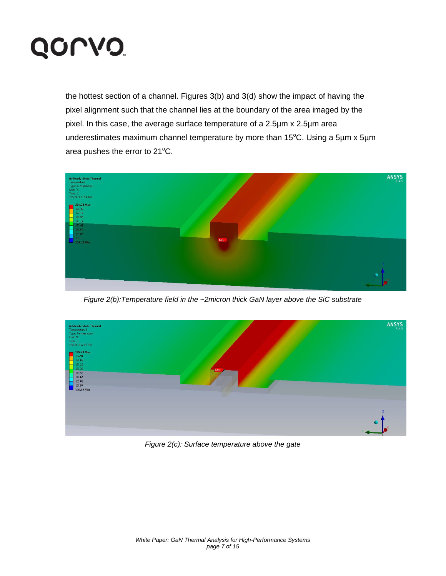

the hottest section of a channel. Figures 3(b) and 3(d) show the impact of having the pixel alignment such that the channel lies at the boundary of the area imaged by the pixel. In this case, the average surface temperature of a 2.5µm x 2.5µm area underestimates maximum channel temperature by more than  $15^{\circ}$ C. Using a 5 $\mu$ m x 5 $\mu$ m area pushes the error to  $21^{\circ}$ C.



*Figure 2(b):Temperature field in the ~2micron thick GaN layer above the SiC substrate*



*Figure 2(c): Surface temperature above the gate*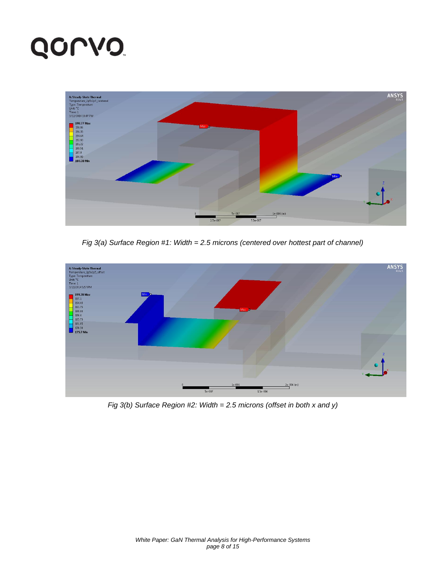

*Fig 3(a) Surface Region #1: Width = 2.5 microns (centered over hottest part of channel)*



*Fig 3(b) Surface Region #2: Width = 2.5 microns (offset in both x and y)*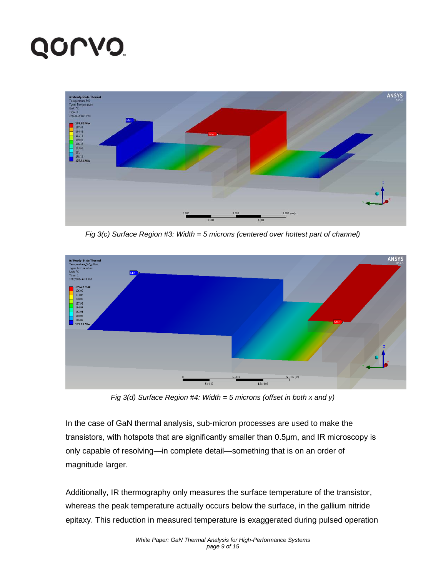# **GOLAQ**



*Fig 3(c) Surface Region #3: Width = 5 microns (centered over hottest part of channel)*



*Fig 3(d) Surface Region #4: Width = 5 microns (offset in both x and y)*

In the case of GaN thermal analysis, sub-micron processes are used to make the transistors, with hotspots that are significantly smaller than 0.5μm, and IR microscopy is only capable of resolving—in complete detail—something that is on an order of magnitude larger.

Additionally, IR thermography only measures the surface temperature of the transistor, whereas the peak temperature actually occurs below the surface, in the gallium nitride epitaxy. This reduction in measured temperature is exaggerated during pulsed operation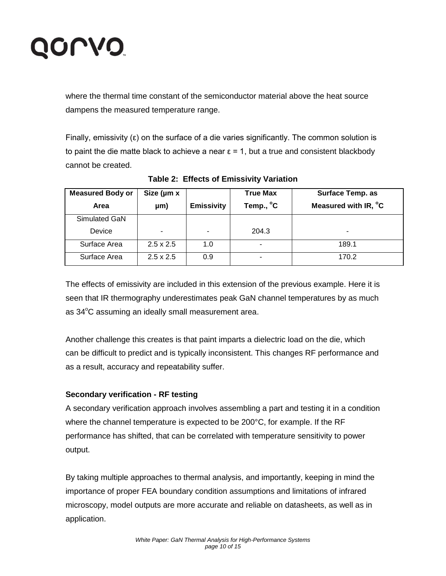where the thermal time constant of the semiconductor material above the heat source dampens the measured temperature range.

Finally, emissivity (ε) on the surface of a die varies significantly. The common solution is to paint the die matte black to achieve a near  $\epsilon$  = 1, but a true and consistent blackbody cannot be created.

| <b>Measured Body or</b> | Size ( $\mu$ m x |                   | <b>True Max</b>          | <b>Surface Temp. as</b> |
|-------------------------|------------------|-------------------|--------------------------|-------------------------|
| Area                    | µm)              | <b>Emissivity</b> | Temp., °C                | Measured with IR, °C    |
| Simulated GaN           |                  |                   |                          |                         |
| Device                  | $\blacksquare$   |                   | 204.3                    | ۰                       |
| Surface Area            | $2.5 \times 2.5$ | 1.0               |                          | 189.1                   |
| Surface Area            | $2.5 \times 2.5$ | 0.9               | $\overline{\phantom{0}}$ | 170.2                   |

**Table 2: Effects of Emissivity Variation**

The effects of emissivity are included in this extension of the previous example. Here it is seen that IR thermography underestimates peak GaN channel temperatures by as much as 34°C assuming an ideally small measurement area.

Another challenge this creates is that paint imparts a dielectric load on the die, which can be difficult to predict and is typically inconsistent. This changes RF performance and as a result, accuracy and repeatability suffer.

### **Secondary verification - RF testing**

A secondary verification approach involves assembling a part and testing it in a condition where the channel temperature is expected to be 200°C, for example. If the RF performance has shifted, that can be correlated with temperature sensitivity to power output.

By taking multiple approaches to thermal analysis, and importantly, keeping in mind the importance of proper FEA boundary condition assumptions and limitations of infrared microscopy, model outputs are more accurate and reliable on datasheets, as well as in application.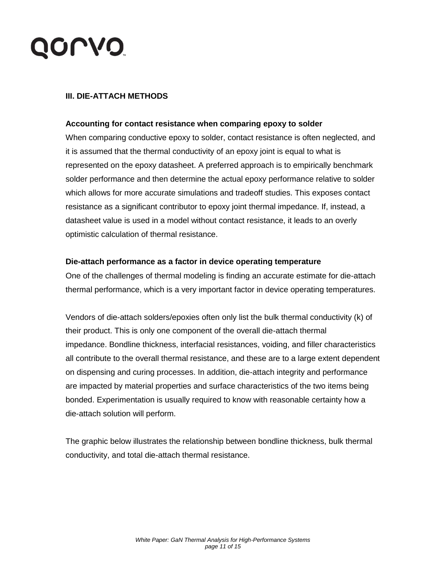### **III. DIE-ATTACH METHODS**

#### **Accounting for contact resistance when comparing epoxy to solder**

When comparing conductive epoxy to solder, contact resistance is often neglected, and it is assumed that the thermal conductivity of an epoxy joint is equal to what is represented on the epoxy datasheet. A preferred approach is to empirically benchmark solder performance and then determine the actual epoxy performance relative to solder which allows for more accurate simulations and tradeoff studies. This exposes contact resistance as a significant contributor to epoxy joint thermal impedance. If, instead, a datasheet value is used in a model without contact resistance, it leads to an overly optimistic calculation of thermal resistance.

### **Die-attach performance as a factor in device operating temperature**

One of the challenges of thermal modeling is finding an accurate estimate for die-attach thermal performance, which is a very important factor in device operating temperatures.

Vendors of die-attach solders/epoxies often only list the bulk thermal conductivity (k) of their product. This is only one component of the overall die-attach thermal impedance. Bondline thickness, interfacial resistances, voiding, and filler characteristics all contribute to the overall thermal resistance, and these are to a large extent dependent on dispensing and curing processes. In addition, die-attach integrity and performance are impacted by material properties and surface characteristics of the two items being bonded. Experimentation is usually required to know with reasonable certainty how a die-attach solution will perform.

The graphic below illustrates the relationship between bondline thickness, bulk thermal conductivity, and total die-attach thermal resistance.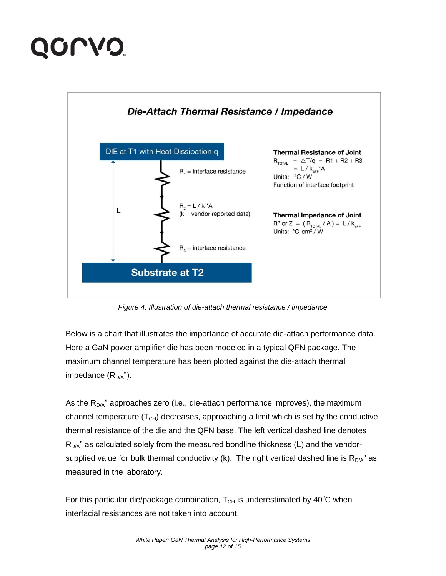# OLANO



*Figure 4: Illustration of die-attach thermal resistance / impedance*

Below is a chart that illustrates the importance of accurate die-attach performance data. Here a GaN power amplifier die has been modeled in a typical QFN package. The maximum channel temperature has been plotted against the die-attach thermal impedance  $(R_{D/A}$ ").

As the  $R_{DA}$ " approaches zero (i.e., die-attach performance improves), the maximum channel temperature  $(T<sub>CH</sub>)$  decreases, approaching a limit which is set by the conductive thermal resistance of the die and the QFN base. The left vertical dashed line denotes  $R_{D/A}$ " as calculated solely from the measured bondline thickness (L) and the vendorsupplied value for bulk thermal conductivity (k). The right vertical dashed line is  $R_{D/A}$ " as measured in the laboratory.

For this particular die/package combination,  $T<sub>CH</sub>$  is underestimated by 40<sup>o</sup>C when interfacial resistances are not taken into account.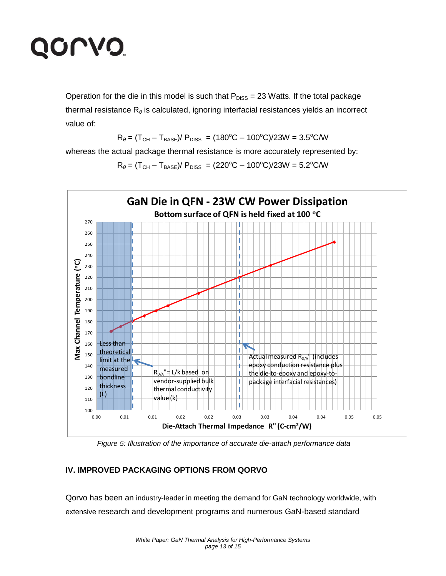# **GOLVO**

Operation for the die in this model is such that  $P_{DISS} = 23$  Watts. If the total package thermal resistance R*<sup>θ</sup>* is calculated, ignoring interfacial resistances yields an incorrect value of:

$$
R_{\theta} = (T_{CH} - T_{BASE})/P_{DISS} = (180^{\circ}C - 100^{\circ}C)/23W = 3.5^{\circ}C/W
$$

whereas the actual package thermal resistance is more accurately represented by:

$$
R_{\theta} = (T_{CH} - T_{BASE})/P_{DISS} = (220^{\circ}C - 100^{\circ}C)/23W = 5.2^{\circ}C/W
$$



### **IV. IMPROVED PACKAGING OPTIONS FROM QORVO**

Qorvo has been an industry-leader in meeting the demand for GaN technology worldwide, with extensive research and development programs and numerous GaN-based standard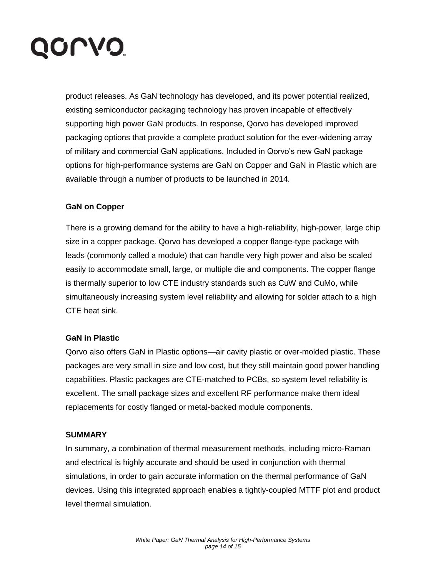# OLVO

product releases. As GaN technology has developed, and its power potential realized, existing semiconductor packaging technology has proven incapable of effectively supporting high power GaN products. In response, Qorvo has developed improved packaging options that provide a complete product solution for the ever-widening array of military and commercial GaN applications. Included in Qorvo's new GaN package options for high-performance systems are GaN on Copper and GaN in Plastic which are available through a number of products to be launched in 2014.

### **GaN on Copper**

There is a growing demand for the ability to have a high-reliability, high-power, large chip size in a copper package. Qorvo has developed a copper flange-type package with leads (commonly called a module) that can handle very high power and also be scaled easily to accommodate small, large, or multiple die and components. The copper flange is thermally superior to low CTE industry standards such as CuW and CuMo, while simultaneously increasing system level reliability and allowing for solder attach to a high CTE heat sink.

### **GaN in Plastic**

Qorvo also offers GaN in Plastic options—air cavity plastic or over-molded plastic. These packages are very small in size and low cost, but they still maintain good power handling capabilities. Plastic packages are CTE-matched to PCBs, so system level reliability is excellent. The small package sizes and excellent RF performance make them ideal replacements for costly flanged or metal-backed module components.

### **SUMMARY**

In summary, a combination of thermal measurement methods, including micro-Raman and electrical is highly accurate and should be used in conjunction with thermal simulations, in order to gain accurate information on the thermal performance of GaN devices. Using this integrated approach enables a tightly-coupled MTTF plot and product level thermal simulation.